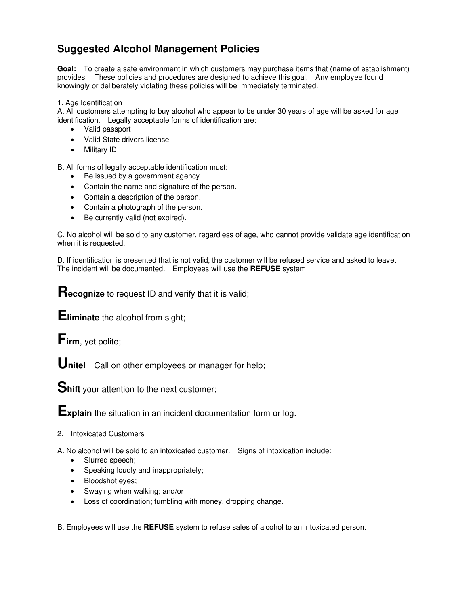## **Suggested Alcohol Management Policies**

**Goal:** To create a safe environment in which customers may purchase items that (name of establishment) provides. These policies and procedures are designed to achieve this goal. Any employee found knowingly or deliberately violating these policies will be immediately terminated.

1. Age Identification

A. All customers attempting to buy alcohol who appear to be under 30 years of age will be asked for age identification. Legally acceptable forms of identification are:

- Valid passport
- Valid State drivers license
- Military ID

B. All forms of legally acceptable identification must:

- Be issued by a government agency.
- Contain the name and signature of the person.
- Contain a description of the person.
- Contain a photograph of the person.
- Be currently valid (not expired).

C. No alcohol will be sold to any customer, regardless of age, who cannot provide validate age identification when it is requested.

D. If identification is presented that is not valid, the customer will be refused service and asked to leave. The incident will be documented. Employees will use the **REFUSE** system:

**Recognize** to request ID and verify that it is valid;

**Eliminate** the alcohol from sight;

**Firm**, yet polite;

**Unite**! Call on other employees or manager for help;

**Shift** your attention to the next customer;

**Explain** the situation in an incident documentation form or log.

2. Intoxicated Customers

A. No alcohol will be sold to an intoxicated customer. Signs of intoxication include:

- Slurred speech;
- Speaking loudly and inappropriately;
- Bloodshot eyes;
- Swaying when walking; and/or
- Loss of coordination; fumbling with money, dropping change.

B. Employees will use the **REFUSE** system to refuse sales of alcohol to an intoxicated person.